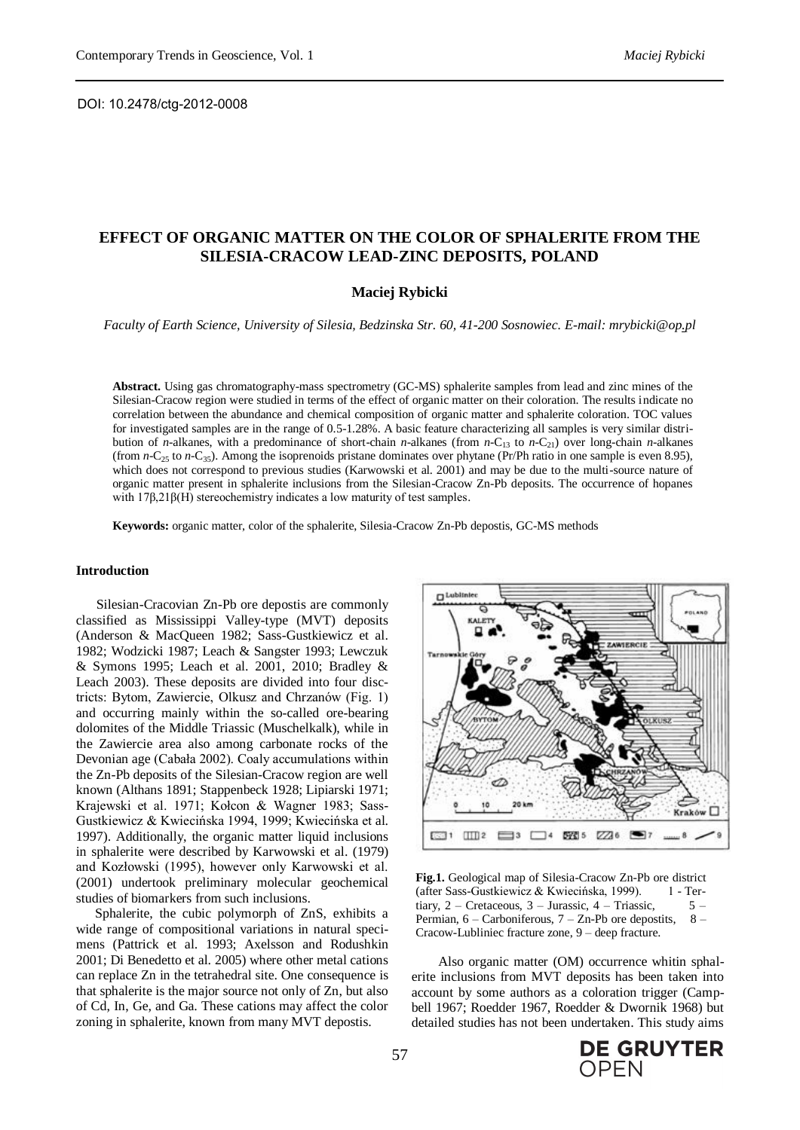DOI: 10.2478/ctg-2012-0008

# **EFFECT OF ORGANIC MATTER ON THE COLOR OF SPHALERITE FROM THE SILESIA-CRACOW LEAD-ZINC DEPOSITS, POLAND**

# **Maciej Rybicki**

*Faculty of Earth Science, University of Silesia, Bedzinska Str. 60, 41-200 Sosnowiec. E-mail: mrybicki@op.pl*

**Abstract.** Using gas chromatography-mass spectrometry (GC-MS) sphalerite samples from lead and zinc mines of the Silesian-Cracow region were studied in terms of the effect of organic matter on their coloration. The results indicate no correlation between the abundance and chemical composition of organic matter and sphalerite coloration. TOC values for investigated samples are in the range of 0.5-1.28%. A basic feature characterizing all samples is very similar distribution of *n*-alkanes, with a predominance of short-chain *n*-alkanes (from *n*-C<sub>13</sub> to *n*-C<sub>21</sub>) over long-chain *n*-alkanes (from  $n-C_{25}$  to  $n-C_{35}$ ). Among the isoprenoids pristane dominates over phytane (Pr/Ph ratio in one sample is even 8.95), which does not correspond to previous studies (Karwowski et al. 2001) and may be due to the multi-source nature of organic matter present in sphalerite inclusions from the Silesian-Cracow Zn-Pb deposits. The occurrence of hopanes with 17β,21β(H) stereochemistry indicates a low maturity of test samples.

**Keywords:** organic matter, color of the sphalerite, Silesia-Cracow Zn-Pb depostis, GC-MS methods

## **Introduction**

Silesian-Cracovian Zn-Pb ore depostis are commonly classified as Mississippi Valley-type (MVT) deposits (Anderson & MacQueen 1982; Sass-Gustkiewicz et al. 1982; Wodzicki 1987; Leach & Sangster 1993; Lewczuk & Symons 1995; Leach et al. 2001, 2010; Bradley & Leach 2003). These deposits are divided into four disctricts: Bytom, Zawiercie, Olkusz and Chrzanów (Fig. 1) and occurring mainly within the so-called ore-bearing dolomites of the Middle Triassic (Muschelkalk), while in the Zawiercie area also among carbonate rocks of the Devonian age (Cabała 2002). Coaly accumulations within the Zn-Pb deposits of the Silesian-Cracow region are well known (Althans 1891; Stappenbeck 1928; Lipiarski 1971; Krajewski et al. 1971; Kołcon & Wagner 1983; Sass-Gustkiewicz & Kwiecińska 1994, 1999; Kwiecińska et al. 1997). Additionally, the organic matter liquid inclusions in sphalerite were described by Karwowski et al. (1979) and Kozłowski (1995), however only Karwowski et al. (2001) undertook preliminary molecular geochemical studies of biomarkers from such inclusions.

Sphalerite, the cubic polymorph of ZnS, exhibits a wide range of compositional variations in natural specimens (Pattrick et al. 1993; Axelsson and Rodushkin 2001; Di Benedetto et al. 2005) where other metal cations can replace Zn in the tetrahedral site. One consequence is that sphalerite is the major source not only of Zn, but also of Cd, In, Ge, and Ga. These cations may affect the color zoning in sphalerite, known from many MVT depostis.



**Fig.1.** Geological map of Silesia-Cracow Zn-Pb ore district (after Sass-Gustkiewicz & Kwiecińska, 1999). 1 - Tertiary,  $2 -$  Cretaceous,  $3 -$  Jurassic,  $4 -$  Triassic,  $5 -$ Permian,  $6 -$ Carboniferous,  $7 -$ Zn-Pb ore depostits,  $8 -$ Cracow-Lubliniec fracture zone, 9 – deep fracture.

Also organic matter (OM) occurrence whitin sphalerite inclusions from MVT deposits has been taken into account by some authors as a coloration trigger (Campbell 1967; Roedder 1967, Roedder & Dwornik 1968) but detailed studies has not been undertaken. This study aims

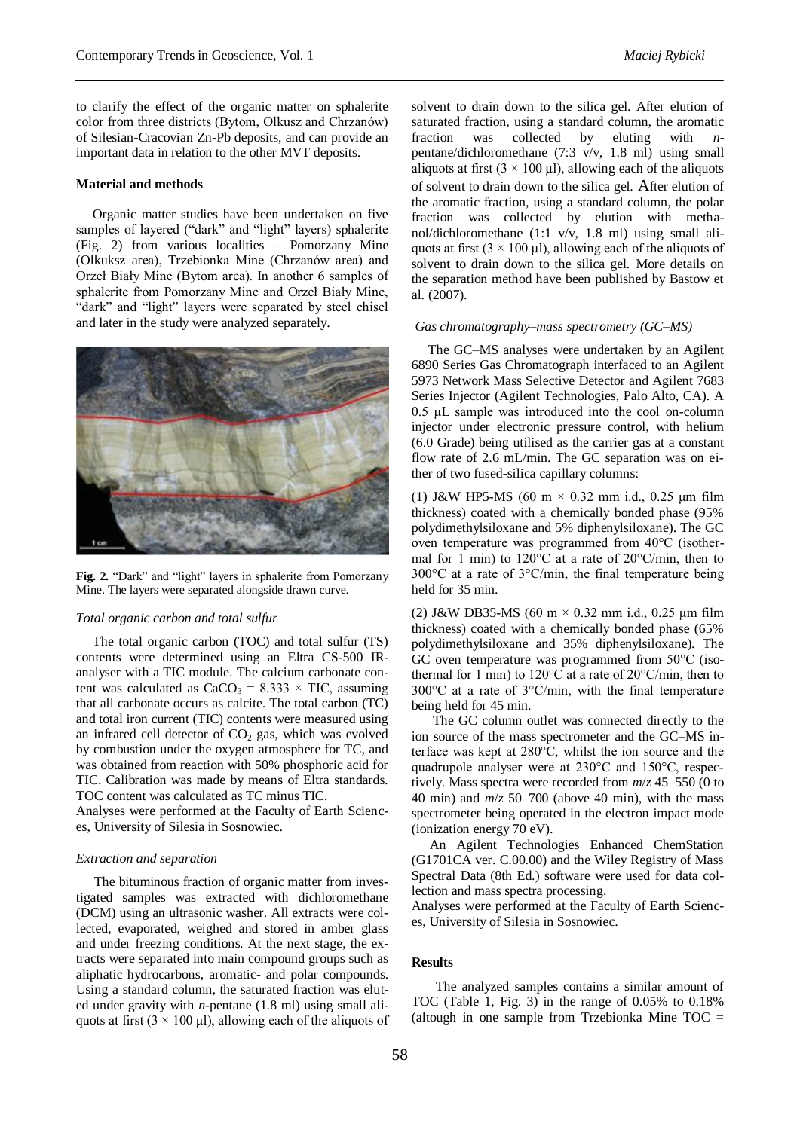to clarify the effect of the organic matter on sphalerite color from three districts (Bytom, Olkusz and Chrzanów) of Silesian-Cracovian Zn-Pb deposits, and can provide an important data in relation to the other MVT deposits.

# **Material and methods**

 Organic matter studies have been undertaken on five samples of layered ("dark" and "light" layers) sphalerite (Fig. 2) from various localities – Pomorzany Mine (Olkuksz area), Trzebionka Mine (Chrzanów area) and Orzeł Biały Mine (Bytom area). In another 6 samples of sphalerite from Pomorzany Mine and Orzeł Biały Mine, "dark" and "light" layers were separated by steel chisel and later in the study were analyzed separately.



**Fig. 2.** "Dark" and "light" layers in sphalerite from Pomorzany Mine. The layers were separated alongside drawn curve.

### *Total organic carbon and total sulfur*

 The total organic carbon (TOC) and total sulfur (TS) contents were determined using an Eltra CS-500 IRanalyser with a TIC module. The calcium carbonate content was calculated as  $CaCO<sub>3</sub> = 8.333 \times TIC$ , assuming that all carbonate occurs as calcite. The total carbon (TC) and total iron current (TIC) contents were measured using an infrared cell detector of  $CO<sub>2</sub>$  gas, which was evolved by combustion under the oxygen atmosphere for TC, and was obtained from reaction with 50% phosphoric acid for TIC. Calibration was made by means of Eltra standards. TOC content was calculated as TC minus TIC.

Analyses were performed at the Faculty of Earth Sciences, University of Silesia in Sosnowiec.

### *Extraction and separation*

The bituminous fraction of organic matter from investigated samples was extracted with dichloromethane (DCM) using an ultrasonic washer. All extracts were collected, evaporated, weighed and stored in amber glass and under freezing conditions. At the next stage, the extracts were separated into main compound groups such as aliphatic hydrocarbons, aromatic- and polar compounds. Using a standard column, the saturated fraction was eluted under gravity with *n*-pentane (1.8 ml) using small aliquots at first  $(3 \times 100 \text{ µ})$ , allowing each of the aliquots of solvent to drain down to the silica gel. After elution of saturated fraction, using a standard column, the aromatic fraction was collected by eluting with *n*pentane/dichloromethane (7:3 v/v, 1.8 ml) using small aliquots at first  $(3 \times 100 \,\mu\text{I})$ , allowing each of the aliquots of solvent to drain down to the silica gel. After elution of the aromatic fraction, using a standard column, the polar fraction was collected by elution with methanol/dichloromethane (1:1 v/v, 1.8 ml) using small aliquots at first  $(3 \times 100 \,\mu\text{J})$ , allowing each of the aliquots of solvent to drain down to the silica gel. More details on the separation method have been published by Bastow et al. (2007).

#### *Gas chromatography–mass spectrometry (GC–MS)*

 The GC–MS analyses were undertaken by an Agilent 6890 Series Gas Chromatograph interfaced to an Agilent 5973 Network Mass Selective Detector and Agilent 7683 Series Injector (Agilent Technologies, Palo Alto, CA). A 0.5 μL sample was introduced into the cool on-column injector under electronic pressure control, with helium (6.0 Grade) being utilised as the carrier gas at a constant flow rate of 2.6 mL/min. The GC separation was on either of two fused-silica capillary columns:

(1) J&W HP5-MS (60 m  $\times$  0.32 mm i.d., 0.25 µm film thickness) coated with a chemically bonded phase (95% polydimethylsiloxane and 5% diphenylsiloxane). The GC oven temperature was programmed from 40°C (isothermal for 1 min) to 120°C at a rate of 20°C/min, then to 300°C at a rate of 3°C/min, the final temperature being held for 35 min.

(2) J&W DB35-MS (60 m  $\times$  0.32 mm i.d., 0.25 µm film thickness) coated with a chemically bonded phase (65% polydimethylsiloxane and 35% diphenylsiloxane). The GC oven temperature was programmed from 50°C (isothermal for 1 min) to 120°C at a rate of 20°C/min, then to 300°C at a rate of 3°C/min, with the final temperature being held for 45 min.

The GC column outlet was connected directly to the ion source of the mass spectrometer and the GC–MS interface was kept at 280°C, whilst the ion source and the quadrupole analyser were at 230°C and 150°C, respectively. Mass spectra were recorded from *m*/*z* 45–550 (0 to 40 min) and *m*/*z* 50–700 (above 40 min), with the mass spectrometer being operated in the electron impact mode (ionization energy 70 eV).

An Agilent Technologies Enhanced ChemStation (G1701CA ver. C.00.00) and the Wiley Registry of Mass Spectral Data (8th Ed.) software were used for data collection and mass spectra processing.

Analyses were performed at the Faculty of Earth Sciences, University of Silesia in Sosnowiec.

### **Results**

The analyzed samples contains a similar amount of TOC (Table 1, Fig. 3) in the range of 0.05% to 0.18% (altough in one sample from Trzebionka Mine  $TOC =$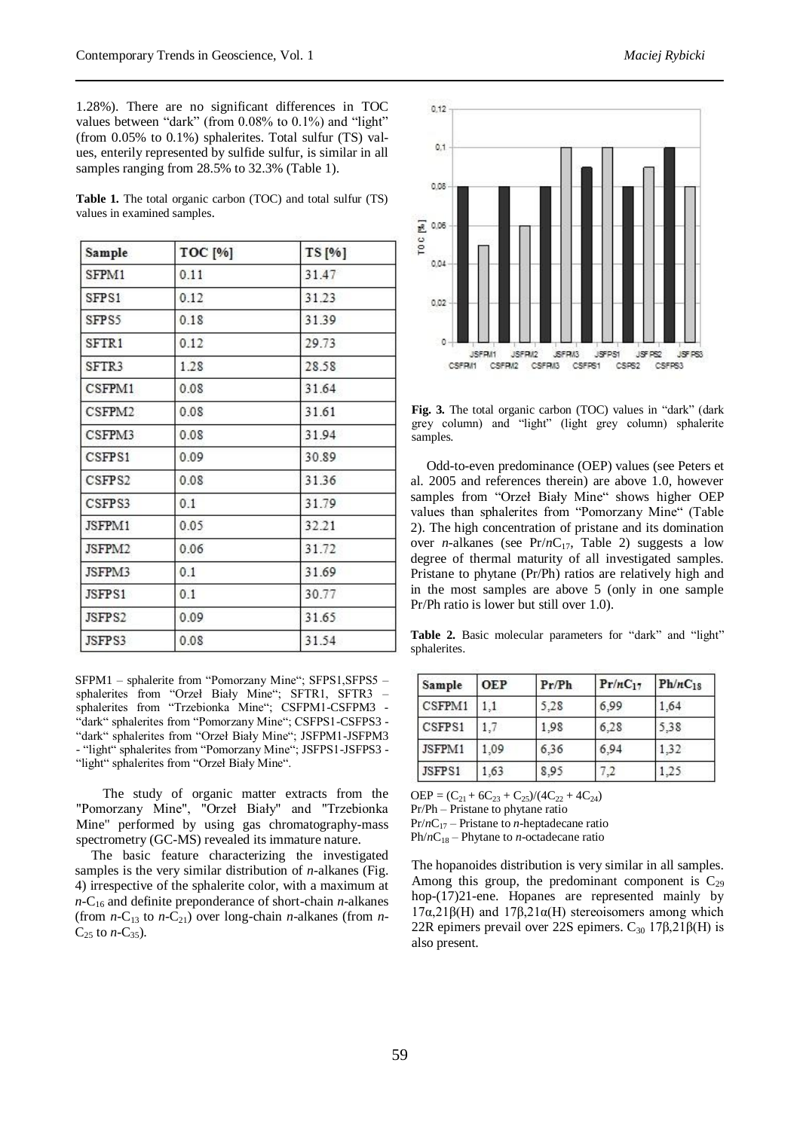1.28%). There are no significant differences in TOC values between "dark" (from 0.08% to 0.1%) and "light" (from 0.05% to 0.1%) sphalerites. Total sulfur (TS) values, enterily represented by sulfide sulfur, is similar in all samples ranging from 28.5% to 32.3% (Table 1).

**Table 1.** The total organic carbon (TOC) and total sulfur (TS) values in examined samples.

| Sample | <b>TOC</b> [%] | TS [%] |  |
|--------|----------------|--------|--|
| SFPM1  | 0.11           | 31.47  |  |
| SFPS1  | 0.12           | 31.23  |  |
| SFPS5  | 0.18           | 31.39  |  |
| SFTR1  | 0.12           | 29.73  |  |
| SFTR3  | 1.28           | 28.58  |  |
| CSFPM1 | 0.08           | 31.64  |  |
| CSFPM2 | 0.08           | 31.61  |  |
| CSFPM3 | 0.08           | 31.94  |  |
| CSFPS1 | 0.09           | 30.89  |  |
| CSFPS2 | 0.08           | 31.36  |  |
| CSFPS3 | 0.1            | 31.79  |  |
| JSFPM1 | 0.05<br>32.21  |        |  |
| JSFPM2 | 0.06           | 31.72  |  |
| JSFPM3 | 0.1            | 31.69  |  |
| JSFPS1 | 0.1            | 30.77  |  |
| JSFPS2 | 0.09           | 31.65  |  |
| JSFPS3 | 0.08           | 31.54  |  |

SFPM1 – sphalerite from "Pomorzany Mine"; SFPS1,SFPS5 – sphalerites from "Orzeł Biały Mine"; SFTR1, SFTR3 – sphalerites from "Trzebionka Mine"; CSFPM1-CSFPM3 - "dark" sphalerites from "Pomorzany Mine"; CSFPS1-CSFPS3 - "dark" sphalerites from "Orzeł Biały Mine"; JSFPM1-JSFPM3 - "light" sphalerites from "Pomorzany Mine"; JSFPS1-JSFPS3 - "light" sphalerites from "Orzeł Biały Mine".

The study of organic matter extracts from the "Pomorzany Mine", "Orzeł Biały" and "Trzebionka Mine" performed by using gas chromatography-mass spectrometry (GC-MS) revealed its immature nature.

The basic feature characterizing the investigated samples is the very similar distribution of *n*-alkanes (Fig. 4) irrespective of the sphalerite color, with a maximum at  $n$ -C<sub>16</sub> and definite preponderance of short-chain  $n$ -alkanes (from  $n-C_{13}$  to  $n-C_{21}$ ) over long-chain *n*-alkanes (from *n*- $C_{25}$  to *n*-C<sub>35</sub>).



**Fig. 3.** The total organic carbon (TOC) values in "dark" (dark grey column) and "light" (light grey column) sphalerite samples.

Odd-to-even predominance (OEP) values (see Peters et al. 2005 and references therein) are above 1.0, however samples from "Orzeł Biały Mine" shows higher OEP values than sphalerites from "Pomorzany Mine" (Table 2). The high concentration of pristane and its domination over *n*-alkanes (see Pr/*n*C<sub>17</sub>, Table 2) suggests a low degree of thermal maturity of all investigated samples. Pristane to phytane (Pr/Ph) ratios are relatively high and in the most samples are above 5 (only in one sample Pr/Ph ratio is lower but still over 1.0).

Table 2. Basic molecular parameters for "dark" and "light" sphalerites.

| Sample | <b>OEP</b> | Pr/Ph | $Pr/nC_{17}$ | $Ph/nC_{18}$ |
|--------|------------|-------|--------------|--------------|
| CSFPM1 |            | 5.28  | 6.99         | 1.64         |
| CSFPS1 | 1.7        | 1.98  | 6,28         | 5.38         |
| JSFPM1 | 1.09       | 6.36  | 6,94         | 1.32         |
| JSFPS1 | .63        | 8.95  | 7,2          | .25          |

 $OEP = (C_{21} + 6C_{23} + C_{25})/(4C_{22} + 4C_{24})$ Pr/Ph – Pristane to phytane ratio Pr/*n*C<sup>17</sup> – Pristane to *n*-heptadecane ratio  $Ph/nC_{18}$  – Phytane to *n*-octadecane ratio

The hopanoides distribution is very similar in all samples. Among this group, the predominant component is  $C_{29}$ hop-(17)21-ene. Hopanes are represented mainly by 17α,21β(H) and 17β,21α(H) stereoisomers among which 22R epimers prevail over 22S epimers.  $C_{30}$  17 $\beta$ ,21 $\beta$ (H) is also present.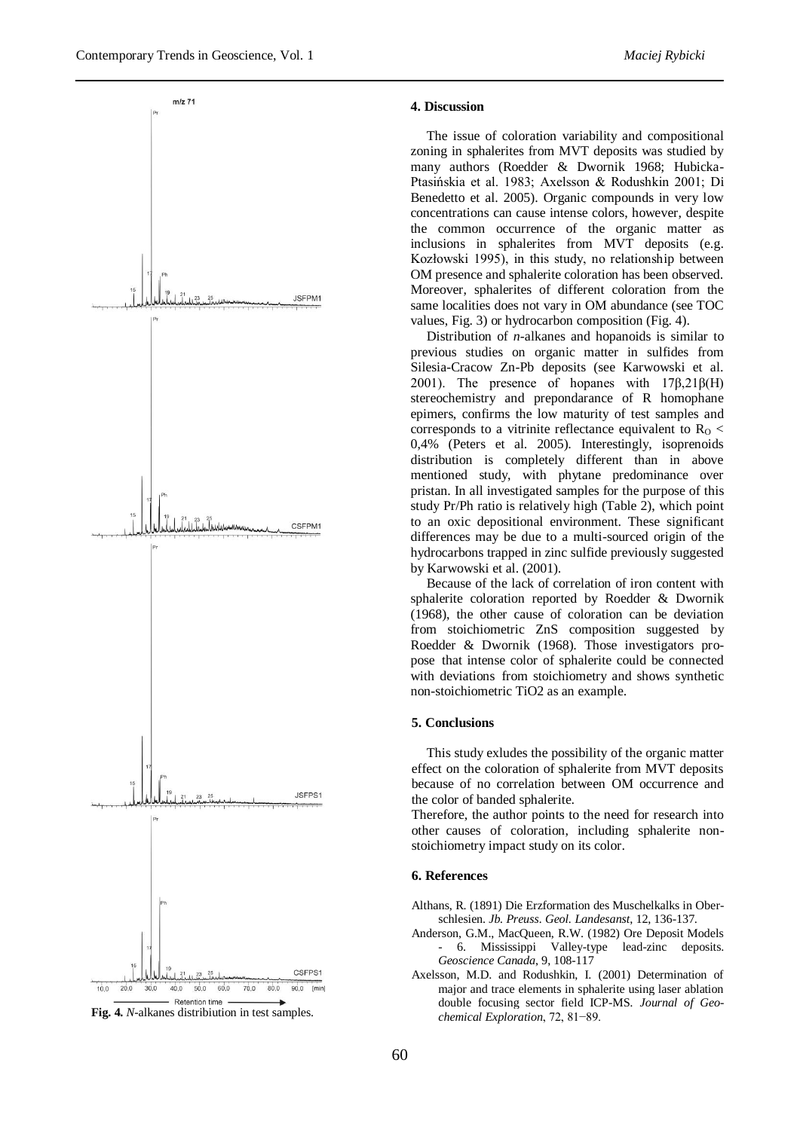

**Fig. 4.** *N*-alkanes distribiution in test samples.

### **4. Discussion**

The issue of coloration variability and compositional zoning in sphalerites from MVT deposits was studied by many authors (Roedder & Dwornik 1968; Hubicka-Ptasińskia et al. 1983; Axelsson & Rodushkin 2001; Di Benedetto et al. 2005). Organic compounds in very low concentrations can cause intense colors, however, despite the common occurrence of the organic matter as inclusions in sphalerites from MVT deposits (e.g. Kozłowski 1995), in this study, no relationship between OM presence and sphalerite coloration has been observed. Moreover, sphalerites of different coloration from the same localities does not vary in OM abundance (see TOC values, Fig. 3) or hydrocarbon composition (Fig. 4).

Distribution of *n*-alkanes and hopanoids is similar to previous studies on organic matter in sulfides from Silesia-Cracow Zn-Pb deposits (see Karwowski et al. 2001). The presence of hopanes with  $17\beta,21\beta$ (H) stereochemistry and prepondarance of R homophane epimers, confirms the low maturity of test samples and corresponds to a vitrinite reflectance equivalent to  $R<sub>o</sub>$ 0,4% (Peters et al. 2005). Interestingly, isoprenoids distribution is completely different than in above mentioned study, with phytane predominance over pristan. In all investigated samples for the purpose of this study Pr/Ph ratio is relatively high (Table 2), which point to an oxic depositional environment. These significant differences may be due to a multi-sourced origin of the hydrocarbons trapped in zinc sulfide previously suggested by Karwowski et al. (2001).

Because of the lack of correlation of iron content with sphalerite coloration reported by Roedder & Dwornik (1968), the other cause of coloration can be deviation from stoichiometric ZnS composition suggested by Roedder & Dwornik (1968). Those investigators propose that intense color of sphalerite could be connected with deviations from stoichiometry and shows synthetic non-stoichiometric TiO2 as an example.

### **5. Conclusions**

This study exludes the possibility of the organic matter effect on the coloration of sphalerite from MVT deposits because of no correlation between OM occurrence and the color of banded sphalerite.

Therefore, the author points to the need for research into other causes of coloration, including sphalerite nonstoichiometry impact study on its color.

# **6. References**

Althans, R. (1891) Die Erzformation des Muschelkalks in Oberschlesien. *Jb. Preuss. Geol. Landesanst*, 12, 136-137.

- Anderson, G.M., MacQueen, R.W. (1982) Ore Deposit Models - 6. Mississippi Valley-type lead-zinc deposits. *Geoscience Canada*, 9, 108-117
- Axelsson, M.D. and Rodushkin, I. (2001) Determination of major and trace elements in sphalerite using laser ablation double focusing sector field ICP-MS*. Journal of Geochemical Exploration*, 72, 81−89.